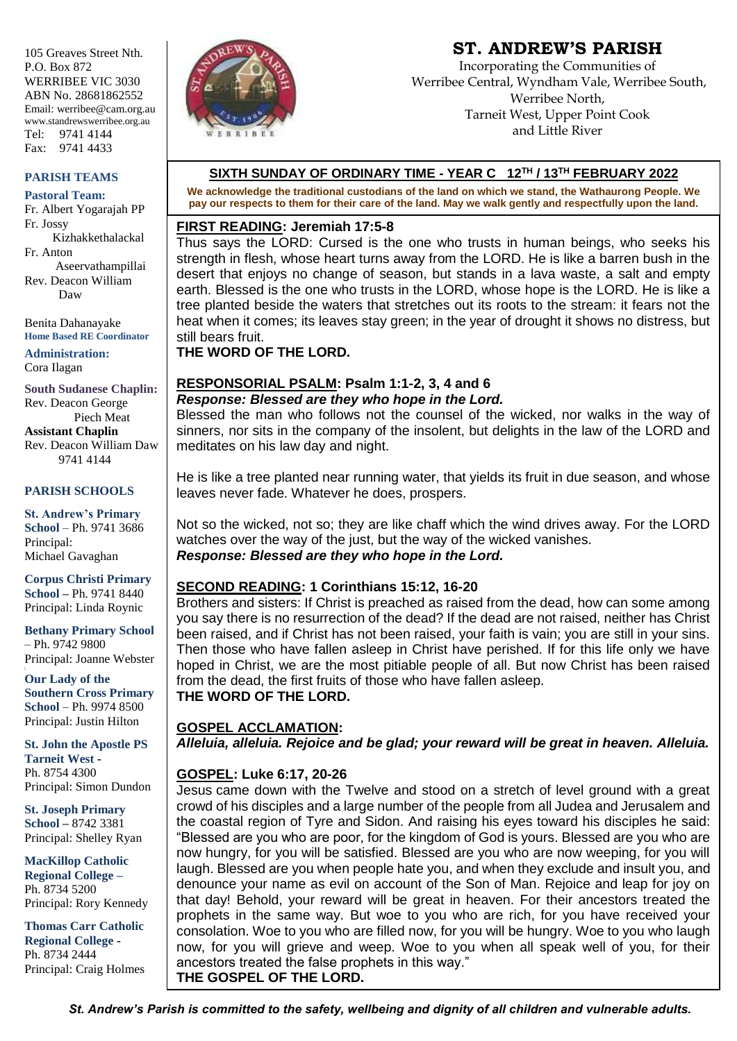105 Greaves Street Nth. P.O. Box 872 WERRIBEE VIC 3030 ABN No. 28681862552 Email: werribee@cam.org.au www.standrewswerribee.org.au Tel: 9741 4144 Fax: 9741 4433

#### **PARISH TEAMS**

**Pastoral Team:** Fr. Albert Yogarajah PP Fr. Jossy Kizhakkethalackal Fr. Anton Aseervathampillai Rev. Deacon William Daw

Benita Dahanayake **Home Based RE Coordinator**

**Administration:** Cora Ilagan

**South Sudanese Chaplin:** Rev. Deacon George Piech Meat **Assistant Chaplin** Rev. Deacon William Daw 9741 4144

#### **PARISH SCHOOLS**

**St. Andrew's Primary School** – Ph. 9741 3686 Principal: Michael Gavaghan

**Corpus Christi Primary School –** Ph. 9741 8440 Principal: Linda Roynic

**Bethany Primary School** – Ph. 9742 9800 Principal: Joanne Webster

**Our Lady of the Southern Cross Primary School** – Ph. 9974 8500 Principal: Justin Hilton

**St. John the Apostle PS Tarneit West -** Ph. 8754 4300 Principal: Simon Dundon

**St. Joseph Primary School –** 8742 3381 Principal: Shelley Ryan

**MacKillop Catholic Regional College –** Ph. 8734 5200 Principal: Rory Kennedy

**Thomas Carr Catholic Regional College -** Ph. 8734 2444 Principal: Craig Holmes



# **ST. ANDREW'S PARISH**

Incorporating the Communities of Werribee Central, Wyndham Vale, Werribee South, Werribee North, Tarneit West, Upper Point Cook and Little River

#### **SIXTH SUNDAY OF ORDINARY TIME - YEAR C 12TH / 13TH FEBRUARY 2022**

**We acknowledge the traditional custodians of the land on which we stand, the Wathaurong People. We pay our respects to them for their care of the land. May we walk gently and respectfully upon the land.**

#### **FIRST READING: Jeremiah 17:5-8**

Thus says the LORD: Cursed is the one who trusts in human beings, who seeks his strength in flesh, whose heart turns away from the LORD. He is like a barren bush in the desert that enjoys no change of season, but stands in a lava waste, a salt and empty earth. Blessed is the one who trusts in the LORD, whose hope is the LORD. He is like a tree planted beside the waters that stretches out its roots to the stream: it fears not the heat when it comes; its leaves stay green; in the year of drought it shows no distress, but still bears fruit.

**THE WORD OF THE LORD.**

#### **RESPONSORIAL PSALM: Psalm 1:1-2, 3, 4 and 6**  *Response: Blessed are they who hope in the Lord.*

Blessed the man who follows not the counsel of the wicked, nor walks in the way of sinners, nor sits in the company of the insolent, but delights in the law of the LORD and meditates on his law day and night.

He is like a tree planted near running water, that yields its fruit in due season, and whose leaves never fade. Whatever he does, prospers.

Not so the wicked, not so; they are like chaff which the wind drives away. For the LORD watches over the way of the just, but the way of the wicked vanishes. *Response: Blessed are they who hope in the Lord.*

# **SECOND READING: 1 Corinthians 15:12, 16-20**

Brothers and sisters: If Christ is preached as raised from the dead, how can some among you say there is no resurrection of the dead? If the dead are not raised, neither has Christ been raised, and if Christ has not been raised, your faith is vain; you are still in your sins. Then those who have fallen asleep in Christ have perished. If for this life only we have hoped in Christ, we are the most pitiable people of all. But now Christ has been raised from the dead, the first fruits of those who have fallen asleep. **THE WORD OF THE LORD.**

**GOSPEL ACCLAMATION:** *Alleluia, alleluia. Rejoice and be glad; your reward will be great in heaven. Alleluia.*

#### **GOSPEL: Luke 6:17, 20-26**

Jesus came down with the Twelve and stood on a stretch of level ground with a great crowd of his disciples and a large number of the people from all Judea and Jerusalem and the coastal region of Tyre and Sidon. And raising his eyes toward his disciples he said: "Blessed are you who are poor, for the kingdom of God is yours. Blessed are you who are now hungry, for you will be satisfied. Blessed are you who are now weeping, for you will laugh. Blessed are you when people hate you, and when they exclude and insult you, and denounce your name as evil on account of the Son of Man. Rejoice and leap for joy on that day! Behold, your reward will be great in heaven. For their ancestors treated the prophets in the same way. But woe to you who are rich, for you have received your consolation. Woe to you who are filled now, for you will be hungry. Woe to you who laugh now, for you will grieve and weep. Woe to you when all speak well of you, for their ancestors treated the false prophets in this way." **THE GOSPEL OF THE LORD.**

*St. Andrew's Parish is committed to the safety, wellbeing and dignity of all children and vulnerable adults.*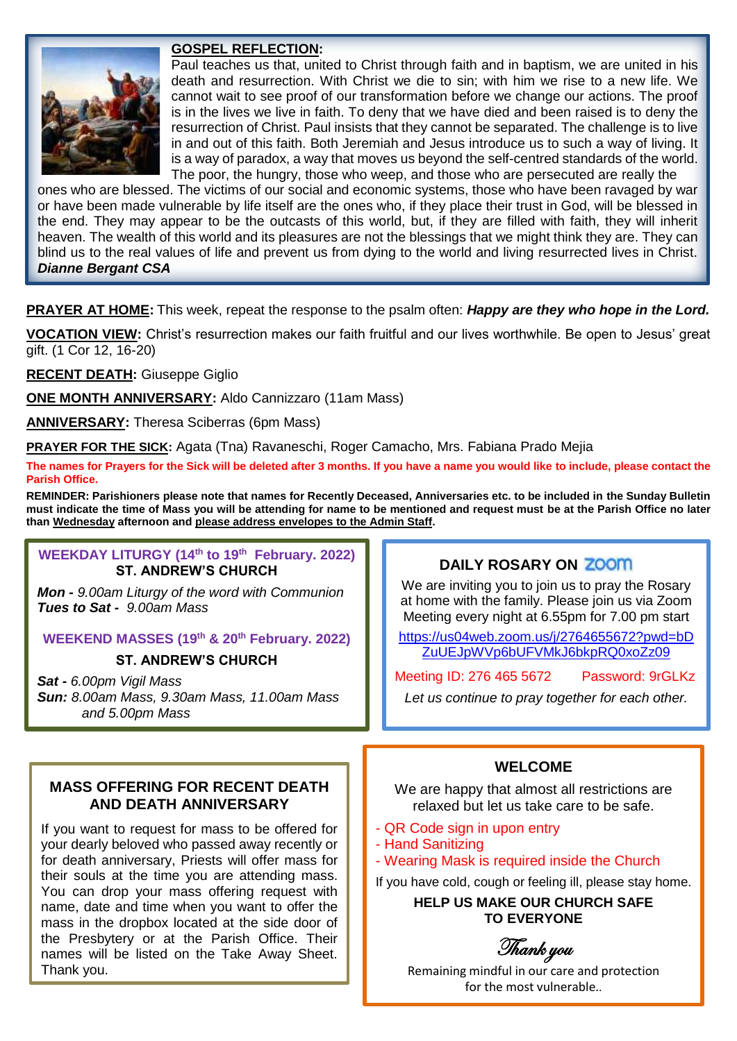# **GOSPEL REFLECTION:**

Paul teaches us that, united to Christ through faith and in baptism, we are united in his death and resurrection. With Christ we die to sin; with him we rise to a new life. We cannot wait to see proof of our transformation before we change our actions. The proof is in the lives we live in faith. To deny that we have died and been raised is to deny the resurrection of Christ. Paul insists that they cannot be separated. The challenge is to live in and out of this faith. Both Jeremiah and Jesus introduce us to such a way of living. It is a way of paradox, a way that moves us beyond the self-centred standards of the world. The poor, the hungry, those who weep, and those who are persecuted are really the

ones who are blessed. The victims of our social and economic systems, those who have been ravaged by war or have been made vulnerable by life itself are the ones who, if they place their trust in God, will be blessed in the end. They may appear to be the outcasts of this world, but, if they are filled with faith, they will inherit heaven. The wealth of this world and its pleasures are not the blessings that we might think they are. They can blind us to the real values of life and prevent us from dying to the world and living resurrected lives in Christ. *Dianne Bergant CSA* 

**PRAYER AT HOME:** This week, repeat the response to the psalm often: *Happy are they who hope in the Lord.*

**VOCATION VIEW:** Christ's resurrection makes our faith fruitful and our lives worthwhile. Be open to Jesus' great gift. (1 Cor 12, 16-20)

**RECENT DEATH:** Giuseppe Giglio

**ONE MONTH ANNIVERSARY:** Aldo Cannizzaro (11am Mass)

**ANNIVERSARY:** Theresa Sciberras (6pm Mass)

**PRAYER FOR THE SICK:** Agata (Tna) Ravaneschi, Roger Camacho, Mrs. Fabiana Prado Mejia

**The names for Prayers for the Sick will be deleted after 3 months. If you have a name you would like to include, please contact the Parish Office.**

**REMINDER: Parishioners please note that names for Recently Deceased, Anniversaries etc. to be included in the Sunday Bulletin must indicate the time of Mass you will be attending for name to be mentioned and request must be at the Parish Office no later than Wednesday afternoon and please address envelopes to the Admin Staff.** 

# **WEEKDAY LITURGY (14th to 19th February. 2022) ST. ANDREW'S CHURCH**

*Mon - 9.00am Liturgy of the word with Communion Tues to Sat - 9.00am Mass*

#### **WEEKEND MASSES (19 th & 20th February. 2022)**

# **ST. ANDREW'S CHURCH**

*Sat - 6.00pm Vigil Mass Sun: 8.00am Mass, 9.30am Mass, 11.00am Mass and 5.00pm Mass*

# **MASS OFFERING FOR RECENT DEATH AND DEATH ANNIVERSARY**

If you want to request for mass to be offered for your dearly beloved who passed away recently or for death anniversary, Priests will offer mass for their souls at the time you are attending mass. You can drop your mass offering request with name, date and time when you want to offer the mass in the dropbox located at the side door of the Presbytery or at the Parish Office. Their names will be listed on the Take Away Sheet. Thank you.

#### **DAILY ROSARY ON**

We are inviting you to join us to pray the Rosary at home with the family. Please join us via Zoom Meeting every night at 6.55pm for 7.00 pm start

https://us04web.zoom.us/j/2764655672?pwd=bD ZuUEJpWVp6bUFVMkJ6bkpRQ0xoZz09

Meeting ID: 276 465 5672 Password: 9rGLKz

*Let us continue to pray together for each other.*

# **WELCOME**

We are happy that almost all restrictions are relaxed but let us take care to be safe.

- QR Code sign in upon entry
- Hand Sanitizing
- Wearing Mask is required inside the Church
- If you have cold, cough or feeling ill, please stay home.

**HELP US MAKE OUR CHURCH SAFE TO EVERYONE**

Thank you

Remaining mindful in our care and protection for the most vulnerable..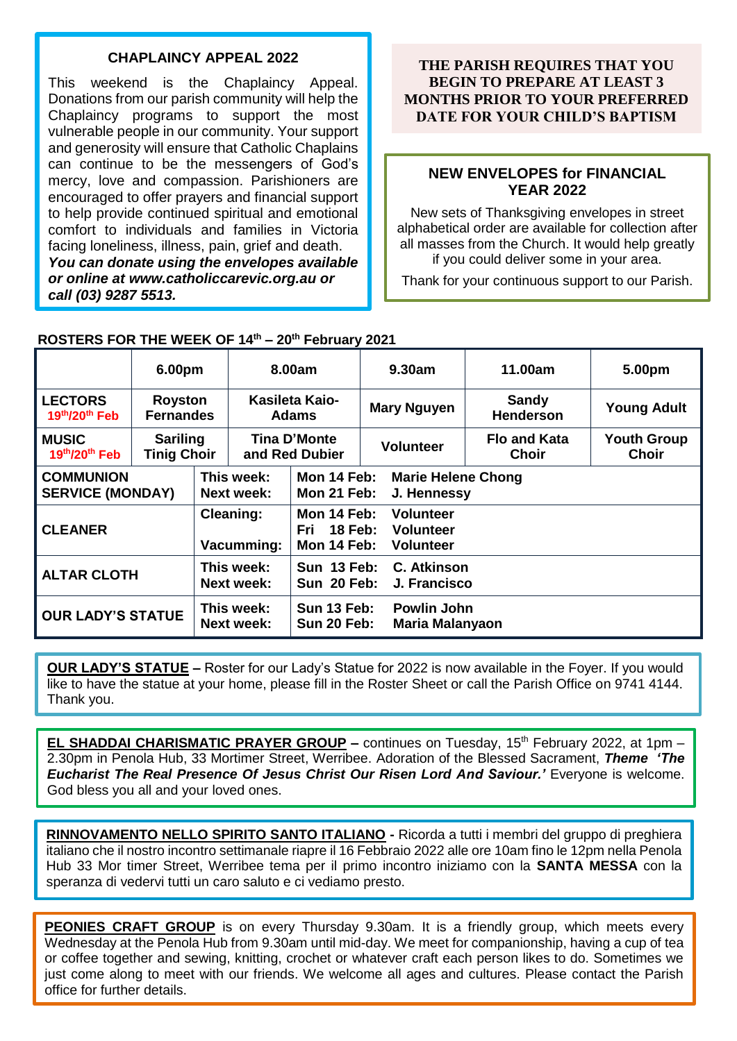## **CHAPLAINCY APPEAL 2022**

This weekend is the Chaplaincy Appeal. Donations from our parish community will help the Chaplaincy programs to support the most vulnerable people in our community. Your support and generosity will ensure that Catholic Chaplains can continue to be the messengers of God's mercy, love and compassion. Parishioners are encouraged to offer prayers and financial support to help provide continued spiritual and emotional comfort to individuals and families in Victoria facing loneliness, illness, pain, grief and death. *You can donate using the envelopes available or online at www.catholiccarevic.org.au or call (03) 9287 5513.*

## **THE PARISH REQUIRES THAT YOU BEGIN TO PREPARE AT LEAST 3 MONTHS PRIOR TO YOUR PREFERRED DATE FOR YOUR CHILD'S BAPTISM**

### **NEW ENVELOPES for FINANCIAL YEAR 2022**

New sets of Thanksgiving envelopes in street alphabetical order are available for collection after all masses from the Church. It would help greatly if you could deliver some in your area.

Thank for your continuous support to our Parish.

|                                             | 6.00pm                                |                                 | 8.00am                         |                                                                                                                 | 9.30am                                       | 11.00am                      | 5.00pm                      |
|---------------------------------------------|---------------------------------------|---------------------------------|--------------------------------|-----------------------------------------------------------------------------------------------------------------|----------------------------------------------|------------------------------|-----------------------------|
| <b>LECTORS</b><br>$19th/20th$ Feb           | <b>Royston</b><br><b>Fernandes</b>    |                                 | Kasileta Kaio-<br><b>Adams</b> |                                                                                                                 | <b>Mary Nguyen</b>                           | Sandy<br><b>Henderson</b>    | <b>Young Adult</b>          |
| <b>MUSIC</b><br>19th/20th Feb               | <b>Sariling</b><br><b>Tinig Choir</b> |                                 | Tina D'Monte<br>and Red Dubier |                                                                                                                 | <b>Volunteer</b>                             | <b>Flo and Kata</b><br>Choir | <b>Youth Group</b><br>Choir |
| <b>COMMUNION</b><br><b>SERVICE (MONDAY)</b> |                                       | This week:<br>Next week:        |                                | Mon 14 Feb:<br><b>Marie Helene Chong</b><br>Mon 21 Feb:<br>J. Hennessy                                          |                                              |                              |                             |
| <b>CLEANER</b>                              |                                       | <b>Cleaning:</b><br>Vacumming:  |                                | Mon 14 Feb:<br><b>Volunteer</b><br><b>18 Feb:</b><br>Fri<br><b>Volunteer</b><br>Mon 14 Feb:<br><b>Volunteer</b> |                                              |                              |                             |
| <b>ALTAR CLOTH</b>                          |                                       | This week:<br><b>Next week:</b> |                                | Sun 13 Feb:<br>Sun 20 Feb:                                                                                      | C. Atkinson<br>J. Francisco                  |                              |                             |
| <b>OUR LADY'S STATUE</b>                    |                                       | This week:<br><b>Next week:</b> |                                | <b>Sun 13 Feb:</b><br>Sun 20 Feb:                                                                               | <b>Powlin John</b><br><b>Maria Malanyaon</b> |                              |                             |

# **ROSTERS FOR THE WEEK OF 14th – 20th February 2021**

**OUR LADY'S STATUE –** Roster for our Lady's Statue for 2022 is now available in the Foyer. If you would like to have the statue at your home, please fill in the Roster Sheet or call the Parish Office on 9741 4144. Thank you.

**EL SHADDAI CHARISMATIC PRAYER GROUP** - continues on Tuesday, 15<sup>th</sup> February 2022, at 1pm -2.30pm in Penola Hub, 33 Mortimer Street, Werribee. Adoration of the Blessed Sacrament, *Theme 'The Eucharist The Real Presence Of Jesus Christ Our Risen Lord And Saviour.'* Everyone is welcome. God bless you all and your loved ones.

**RINNOVAMENTO NELLO SPIRITO SANTO ITALIANO -** Ricorda a tutti i membri del gruppo di preghiera italiano che il nostro incontro settimanale riapre il 16 Febbraio 2022 alle ore 10am fino le 12pm nella Penola Hub 33 Mor timer Street, Werribee tema per il primo incontro iniziamo con la **SANTA MESSA** con la speranza di vedervi tutti un caro saluto e ci vediamo presto.

**PEONIES CRAFT GROUP** is on every Thursday 9.30am. It is a friendly group, which meets every Wednesday at the Penola Hub from 9.30am until mid-day. We meet for companionship, having a cup of tea or coffee together and sewing, knitting, crochet or whatever craft each person likes to do. Sometimes we just come along to meet with our friends. We welcome all ages and cultures. Please contact the Parish office for further details.